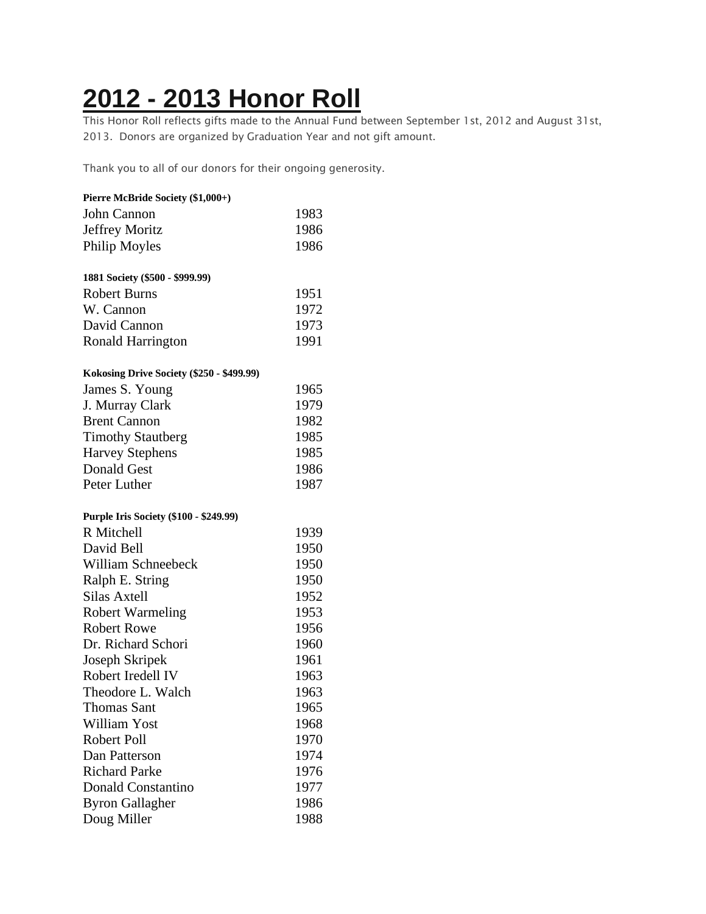## **2012 - 2013 [Honor](https://chidelts.2stayconnected.com/index.php?option=com_content&view=article&id=346:2012-2013-honor-roll&catid=42&Itemid=624) Roll**

This Honor Roll reflects gifts made to the Annual Fund between September 1st, 2012 and August 31st, 2013. Donors are organized by Graduation Year and not gift amount.

Thank you to all of our donors for their ongoing generosity.

| Pierre McBride Society (\$1,000+)             |      |
|-----------------------------------------------|------|
| John Cannon                                   | 1983 |
| Jeffrey Moritz                                | 1986 |
| Philip Moyles                                 | 1986 |
| 1881 Society (\$500 - \$999.99)               |      |
| <b>Robert Burns</b>                           | 1951 |
| W. Cannon                                     | 1972 |
| David Cannon                                  | 1973 |
| Ronald Harrington                             | 1991 |
| Kokosing Drive Society (\$250 - \$499.99)     |      |
| James S. Young                                | 1965 |
| J. Murray Clark                               | 1979 |
| <b>Brent Cannon</b>                           | 1982 |
| <b>Timothy Stautberg</b>                      | 1985 |
| <b>Harvey Stephens</b>                        | 1985 |
| <b>Donald Gest</b>                            | 1986 |
| Peter Luther                                  | 1987 |
| <b>Purple Iris Society (\$100 - \$249.99)</b> |      |
| R Mitchell                                    | 1939 |
| David Bell                                    | 1950 |
| <b>William Schneebeck</b>                     | 1950 |
| Ralph E. String                               | 1950 |
| <b>Silas Axtell</b>                           | 1952 |
| <b>Robert Warmeling</b>                       | 1953 |
| <b>Robert Rowe</b>                            | 1956 |
| Dr. Richard Schori                            | 1960 |
| Joseph Skripek                                | 1961 |
| Robert Iredell IV                             | 1963 |
| Theodore L. Walch                             | 1963 |
| <b>Thomas Sant</b>                            | 1965 |
| William Yost                                  | 1968 |
| <b>Robert Poll</b>                            | 1970 |
| Dan Patterson                                 | 1974 |
| <b>Richard Parke</b>                          | 1976 |
| <b>Donald Constantino</b>                     | 1977 |
| <b>Byron Gallagher</b>                        | 1986 |
| Doug Miller                                   | 1988 |